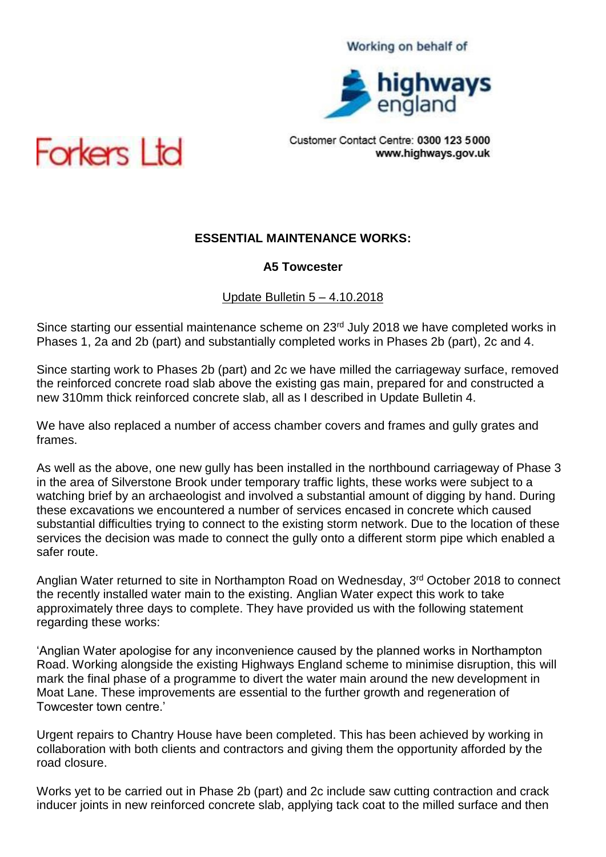## Working on behalf of



Customer Contact Centre: 0300 123 5000 www.highways.gov.uk



## **ESSENTIAL MAINTENANCE WORKS:**

## **A5 Towcester**

Update Bulletin 5 – 4.10.2018

Since starting our essential maintenance scheme on 23<sup>rd</sup> July 2018 we have completed works in Phases 1, 2a and 2b (part) and substantially completed works in Phases 2b (part), 2c and 4.

Since starting work to Phases 2b (part) and 2c we have milled the carriageway surface, removed the reinforced concrete road slab above the existing gas main, prepared for and constructed a new 310mm thick reinforced concrete slab, all as I described in Update Bulletin 4.

We have also replaced a number of access chamber covers and frames and gully grates and frames.

As well as the above, one new gully has been installed in the northbound carriageway of Phase 3 in the area of Silverstone Brook under temporary traffic lights, these works were subject to a watching brief by an archaeologist and involved a substantial amount of digging by hand. During these excavations we encountered a number of services encased in concrete which caused substantial difficulties trying to connect to the existing storm network. Due to the location of these services the decision was made to connect the gully onto a different storm pipe which enabled a safer route.

Anglian Water returned to site in Northampton Road on Wednesday, 3<sup>rd</sup> October 2018 to connect the recently installed water main to the existing. Anglian Water expect this work to take approximately three days to complete. They have provided us with the following statement regarding these works:

'Anglian Water apologise for any inconvenience caused by the planned works in Northampton Road. Working alongside the existing Highways England scheme to minimise disruption, this will mark the final phase of a programme to divert the water main around the new development in Moat Lane. These improvements are essential to the further growth and regeneration of Towcester town centre.'

Urgent repairs to Chantry House have been completed. This has been achieved by working in collaboration with both clients and contractors and giving them the opportunity afforded by the road closure.

Works yet to be carried out in Phase 2b (part) and 2c include saw cutting contraction and crack inducer joints in new reinforced concrete slab, applying tack coat to the milled surface and then